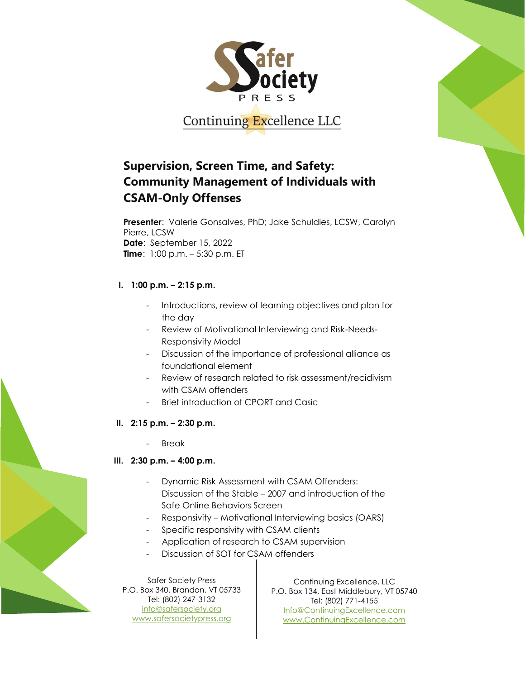

# **Supervision, Screen Time, and Safety: Community Management of Individuals with CSAM-Only Offenses**

**Presenter**: Valerie Gonsalves, PhD; Jake Schuldies, LCSW, Carolyn Pierre, LCSW **Date**: September 15, 2022 **Time**: 1:00 p.m. – 5:30 p.m. ET

## **I. 1:00 p.m. – 2:15 p.m.**

- Introductions, review of learning objectives and plan for the day
- Review of Motivational Interviewing and Risk-Needs-Responsivity Model
- Discussion of the importance of professional alliance as foundational element
- Review of research related to risk assessment/recidivism with CSAM offenders
- Brief introduction of CPORT and Casic
- **II. 2:15 p.m. – 2:30 p.m.**
	- **Break**

## **III. 2:30 p.m. – 4:00 p.m.**

- Dynamic Risk Assessment with CSAM Offenders: Discussion of the Stable – 2007 and introduction of the Safe Online Behaviors Screen
- Responsivity Motivational Interviewing basics (OARS)
- Specific responsivity with CSAM clients
- Application of research to CSAM supervision
- Discussion of SOT for CSAM offenders

Safer Society Press P.O. Box 340, Brandon, VT 05733 Tel: (802) 247-3132 [info@safersociety.org](about:blank) [www.safersocietypress.org](about:blank)

Continuing Excellence, LLC P.O. Box 134, East Middlebury, VT 05740 Tel: (802) 771-4155 [Info@ContinuingExcellence.com](about:blank) [www.ContinuingExcellence.com](about:blank)